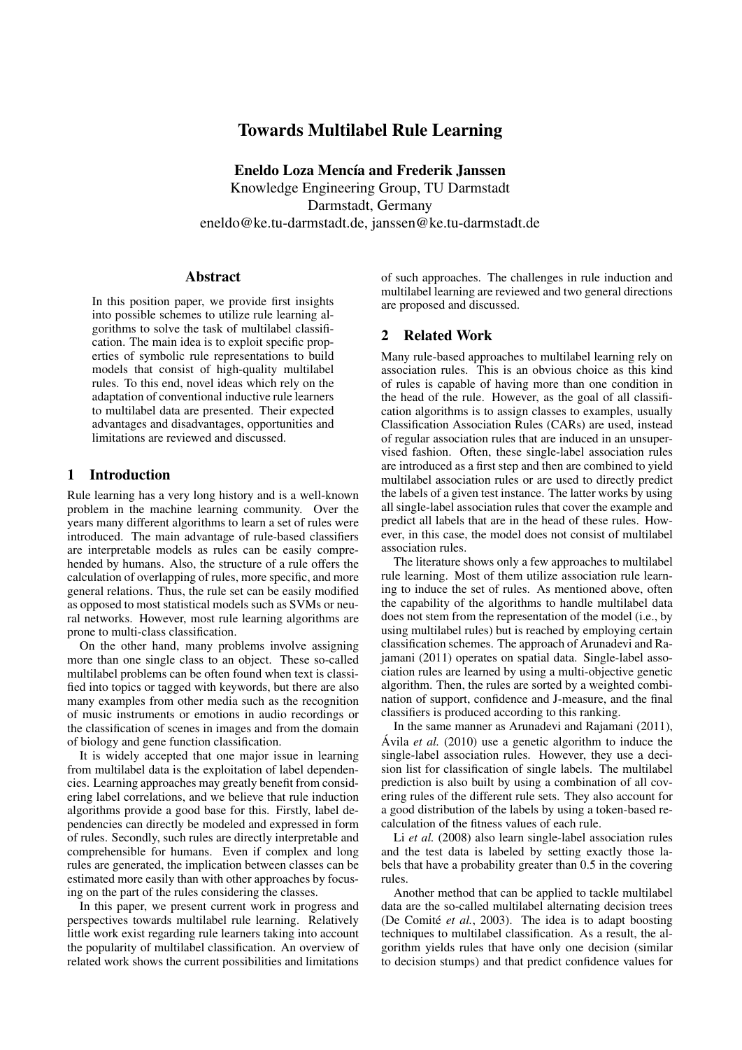# Towards Multilabel Rule Learning

Eneldo Loza Mencía and Frederik Janssen Knowledge Engineering Group, TU Darmstadt Darmstadt, Germany eneldo@ke.tu-darmstadt.de, janssen@ke.tu-darmstadt.de

#### Abstract

In this position paper, we provide first insights into possible schemes to utilize rule learning algorithms to solve the task of multilabel classification. The main idea is to exploit specific properties of symbolic rule representations to build models that consist of high-quality multilabel rules. To this end, novel ideas which rely on the adaptation of conventional inductive rule learners to multilabel data are presented. Their expected advantages and disadvantages, opportunities and limitations are reviewed and discussed.

### 1 Introduction

Rule learning has a very long history and is a well-known problem in the machine learning community. Over the years many different algorithms to learn a set of rules were introduced. The main advantage of rule-based classifiers are interpretable models as rules can be easily comprehended by humans. Also, the structure of a rule offers the calculation of overlapping of rules, more specific, and more general relations. Thus, the rule set can be easily modified as opposed to most statistical models such as SVMs or neural networks. However, most rule learning algorithms are prone to multi-class classification.

On the other hand, many problems involve assigning more than one single class to an object. These so-called multilabel problems can be often found when text is classified into topics or tagged with keywords, but there are also many examples from other media such as the recognition of music instruments or emotions in audio recordings or the classification of scenes in images and from the domain of biology and gene function classification.

It is widely accepted that one major issue in learning from multilabel data is the exploitation of label dependencies. Learning approaches may greatly benefit from considering label correlations, and we believe that rule induction algorithms provide a good base for this. Firstly, label dependencies can directly be modeled and expressed in form of rules. Secondly, such rules are directly interpretable and comprehensible for humans. Even if complex and long rules are generated, the implication between classes can be estimated more easily than with other approaches by focusing on the part of the rules considering the classes.

In this paper, we present current work in progress and perspectives towards multilabel rule learning. Relatively little work exist regarding rule learners taking into account the popularity of multilabel classification. An overview of related work shows the current possibilities and limitations

of such approaches. The challenges in rule induction and multilabel learning are reviewed and two general directions are proposed and discussed.

# 2 Related Work

Many rule-based approaches to multilabel learning rely on association rules. This is an obvious choice as this kind of rules is capable of having more than one condition in the head of the rule. However, as the goal of all classification algorithms is to assign classes to examples, usually Classification Association Rules (CARs) are used, instead of regular association rules that are induced in an unsupervised fashion. Often, these single-label association rules are introduced as a first step and then are combined to yield multilabel association rules or are used to directly predict the labels of a given test instance. The latter works by using all single-label association rules that cover the example and predict all labels that are in the head of these rules. However, in this case, the model does not consist of multilabel association rules.

The literature shows only a few approaches to multilabel rule learning. Most of them utilize association rule learning to induce the set of rules. As mentioned above, often the capability of the algorithms to handle multilabel data does not stem from the representation of the model (i.e., by using multilabel rules) but is reached by employing certain classification schemes. The approach of Arunadevi and Rajamani (2011) operates on spatial data. Single-label association rules are learned by using a multi-objective genetic algorithm. Then, the rules are sorted by a weighted combination of support, confidence and J-measure, and the final classifiers is produced according to this ranking.

In the same manner as Arunadevi and Rajamani (2011), Ávila  $et$   $al.$  (2010) use a genetic algorithm to induce the single-label association rules. However, they use a decision list for classification of single labels. The multilabel prediction is also built by using a combination of all covering rules of the different rule sets. They also account for a good distribution of the labels by using a token-based recalculation of the fitness values of each rule.

Li *et al.* (2008) also learn single-label association rules and the test data is labeled by setting exactly those labels that have a probability greater than 0.5 in the covering rules.

Another method that can be applied to tackle multilabel data are the so-called multilabel alternating decision trees (De Comité et al., 2003). The idea is to adapt boosting techniques to multilabel classification. As a result, the algorithm yields rules that have only one decision (similar to decision stumps) and that predict confidence values for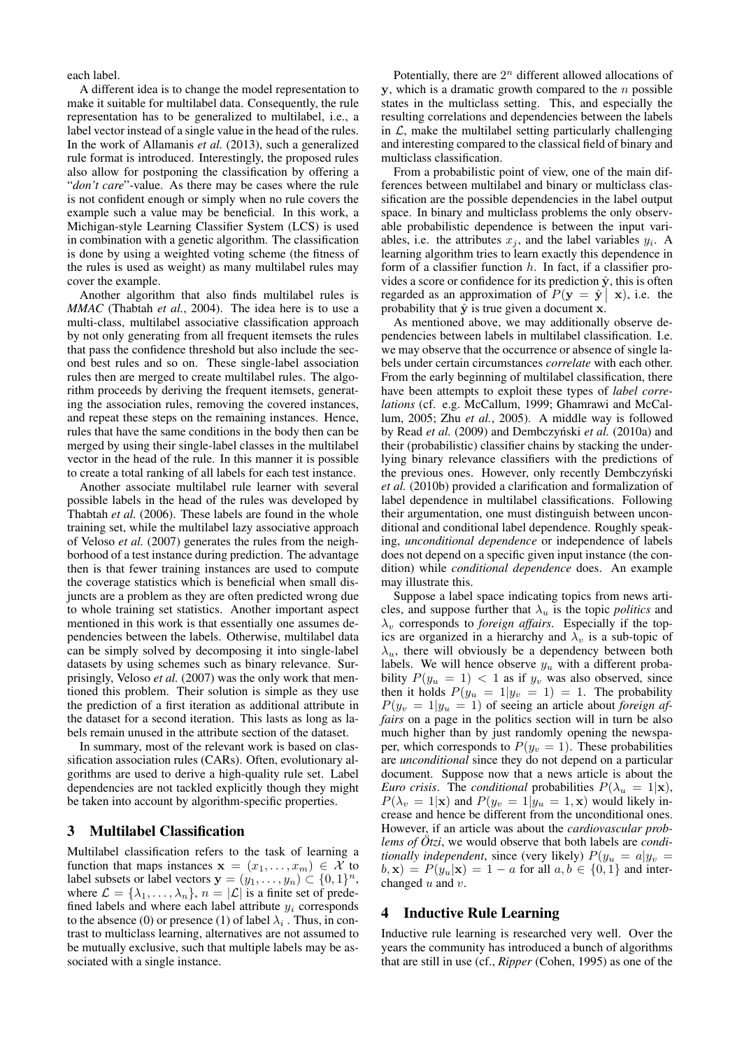each label.

A different idea is to change the model representation to make it suitable for multilabel data. Consequently, the rule representation has to be generalized to multilabel, i.e., a label vector instead of a single value in the head of the rules. In the work of Allamanis *et al.* (2013), such a generalized rule format is introduced. Interestingly, the proposed rules also allow for postponing the classification by offering a "*don't care*"-value. As there may be cases where the rule is not confident enough or simply when no rule covers the example such a value may be beneficial. In this work, a Michigan-style Learning Classifier System (LCS) is used in combination with a genetic algorithm. The classification is done by using a weighted voting scheme (the fitness of the rules is used as weight) as many multilabel rules may cover the example.

Another algorithm that also finds multilabel rules is *MMAC* (Thabtah *et al.*, 2004). The idea here is to use a multi-class, multilabel associative classification approach by not only generating from all frequent itemsets the rules that pass the confidence threshold but also include the second best rules and so on. These single-label association rules then are merged to create multilabel rules. The algorithm proceeds by deriving the frequent itemsets, generating the association rules, removing the covered instances, and repeat these steps on the remaining instances. Hence, rules that have the same conditions in the body then can be merged by using their single-label classes in the multilabel vector in the head of the rule. In this manner it is possible to create a total ranking of all labels for each test instance.

Another associate multilabel rule learner with several possible labels in the head of the rules was developed by Thabtah *et al.* (2006). These labels are found in the whole training set, while the multilabel lazy associative approach of Veloso *et al.* (2007) generates the rules from the neighborhood of a test instance during prediction. The advantage then is that fewer training instances are used to compute the coverage statistics which is beneficial when small disjuncts are a problem as they are often predicted wrong due to whole training set statistics. Another important aspect mentioned in this work is that essentially one assumes dependencies between the labels. Otherwise, multilabel data can be simply solved by decomposing it into single-label datasets by using schemes such as binary relevance. Surprisingly, Veloso *et al.* (2007) was the only work that mentioned this problem. Their solution is simple as they use the prediction of a first iteration as additional attribute in the dataset for a second iteration. This lasts as long as labels remain unused in the attribute section of the dataset.

In summary, most of the relevant work is based on classification association rules (CARs). Often, evolutionary algorithms are used to derive a high-quality rule set. Label dependencies are not tackled explicitly though they might be taken into account by algorithm-specific properties.

#### 3 Multilabel Classification

Multilabel classification refers to the task of learning a function that maps instances  $x = (x_1, \ldots, x_m) \in \mathcal{X}$  to label subsets or label vectors  $y = (y_1, \dots, y_n) \subset \{0, 1\}^n$ , where  $\mathcal{L} = {\lambda_1, ..., \lambda_n}$ ,  $n = |\mathcal{L}|$  is a finite set of predefined labels and where each label attribute  $y_i$  corresponds to the absence (0) or presence (1) of label  $\lambda_i$ . Thus, in contrast to multiclass learning, alternatives are not assumed to be mutually exclusive, such that multiple labels may be associated with a single instance.

Potentially, there are  $2<sup>n</sup>$  different allowed allocations of  $y$ , which is a dramatic growth compared to the  $n$  possible states in the multiclass setting. This, and especially the resulting correlations and dependencies between the labels in  $\mathcal{L}$ , make the multilabel setting particularly challenging and interesting compared to the classical field of binary and multiclass classification.

From a probabilistic point of view, one of the main differences between multilabel and binary or multiclass classification are the possible dependencies in the label output space. In binary and multiclass problems the only observable probabilistic dependence is between the input variables, i.e. the attributes  $x_j$ , and the label variables  $y_i$ . A learning algorithm tries to learn exactly this dependence in form of a classifier function  $h$ . In fact, if a classifier provides a score or confidence for its prediction  $\hat{y}$ , this is often regarded as an approximation of  $P(y = \hat{y} | x)$ , i.e. the probability that  $\hat{y}$  is true given a document x.

As mentioned above, we may additionally observe dependencies between labels in multilabel classification. I.e. we may observe that the occurrence or absence of single labels under certain circumstances *correlate* with each other. From the early beginning of multilabel classification, there have been attempts to exploit these types of *label correlations* (cf. e.g. McCallum, 1999; Ghamrawi and McCallum, 2005; Zhu *et al.*, 2005). A middle way is followed by Read et al. (2009) and Dembczyński et al. (2010a) and their (probabilistic) classifier chains by stacking the underlying binary relevance classifiers with the predictions of the previous ones. However, only recently Dembczyński *et al.* (2010b) provided a clarification and formalization of label dependence in multilabel classifications. Following their argumentation, one must distinguish between unconditional and conditional label dependence. Roughly speaking, *unconditional dependence* or independence of labels does not depend on a specific given input instance (the condition) while *conditional dependence* does. An example may illustrate this.

Suppose a label space indicating topics from news articles, and suppose further that  $\lambda_u$  is the topic *politics* and  $\lambda_v$  corresponds to *foreign affairs*. Especially if the topics are organized in a hierarchy and  $\lambda_v$  is a sub-topic of  $\lambda_{\mu}$ , there will obviously be a dependency between both labels. We will hence observe  $y_u$  with a different probability  $P(y_u = 1) < 1$  as if  $y_v$  was also observed, since then it holds  $P(y_u = 1|y_v = 1) = 1$ . The probability  $P(y_v = 1|y_u = 1)$  of seeing an article about *foreign affairs* on a page in the politics section will in turn be also much higher than by just randomly opening the newspaper, which corresponds to  $P(y_v = 1)$ . These probabilities are *unconditional* since they do not depend on a particular document. Suppose now that a news article is about the *Euro crisis.* The *conditional* probabilities  $P(\lambda_u = 1 | \mathbf{x})$ ,  $P(\lambda_v = 1|\mathbf{x})$  and  $P(y_v = 1|y_u = 1, \mathbf{x})$  would likely increase and hence be different from the unconditional ones. However, if an article was about the *cardiovascular problems of*  $\ddot{O}tzi$ *, we would observe that both labels are <i>conditionally independent*, since (very likely)  $P(y_u = a|y_v = a)$  $(b, \mathbf{x}) = P(y_u|\mathbf{x}) = 1 - a$  for all  $a, b \in \{0, 1\}$  and interchanged  $u$  and  $v$ .

# 4 Inductive Rule Learning

Inductive rule learning is researched very well. Over the years the community has introduced a bunch of algorithms that are still in use (cf., *Ripper* (Cohen, 1995) as one of the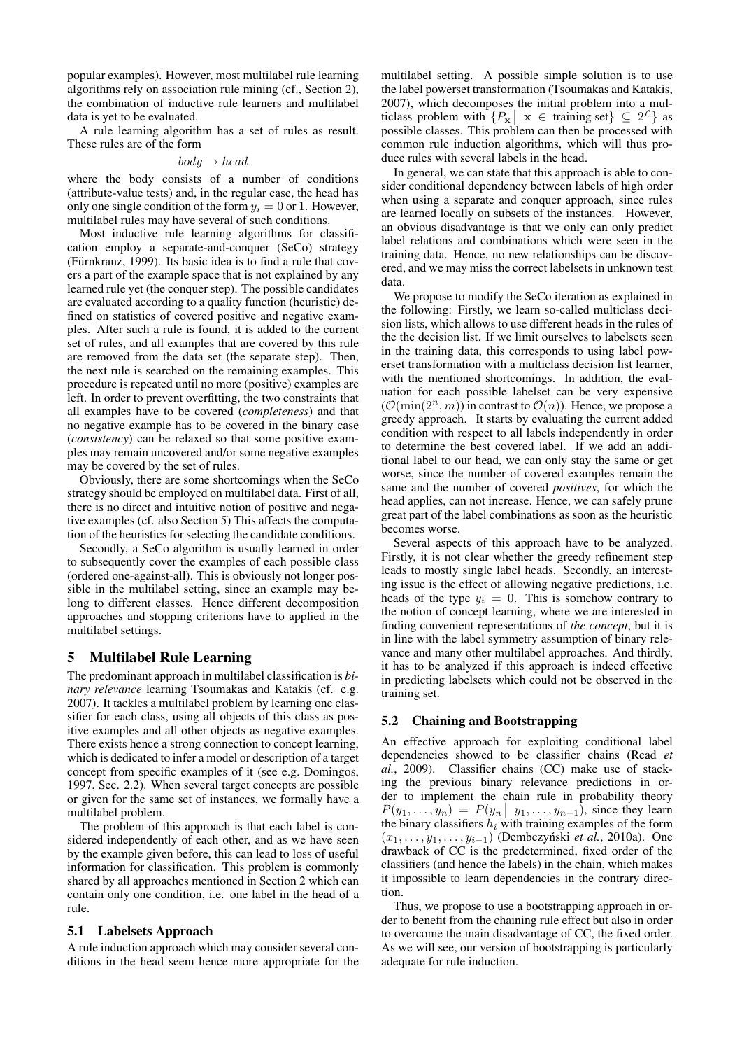popular examples). However, most multilabel rule learning algorithms rely on association rule mining (cf., Section 2), the combination of inductive rule learners and multilabel data is yet to be evaluated.

A rule learning algorithm has a set of rules as result. These rules are of the form

#### $body \rightarrow head$

where the body consists of a number of conditions (attribute-value tests) and, in the regular case, the head has only one single condition of the form  $y_i = 0$  or 1. However, multilabel rules may have several of such conditions.

Most inductive rule learning algorithms for classification employ a separate-and-conquer (SeCo) strategy (Fürnkranz, 1999). Its basic idea is to find a rule that covers a part of the example space that is not explained by any learned rule yet (the conquer step). The possible candidates are evaluated according to a quality function (heuristic) defined on statistics of covered positive and negative examples. After such a rule is found, it is added to the current set of rules, and all examples that are covered by this rule are removed from the data set (the separate step). Then, the next rule is searched on the remaining examples. This procedure is repeated until no more (positive) examples are left. In order to prevent overfitting, the two constraints that all examples have to be covered (*completeness*) and that no negative example has to be covered in the binary case (*consistency*) can be relaxed so that some positive examples may remain uncovered and/or some negative examples may be covered by the set of rules.

Obviously, there are some shortcomings when the SeCo strategy should be employed on multilabel data. First of all, there is no direct and intuitive notion of positive and negative examples (cf. also Section 5) This affects the computation of the heuristics for selecting the candidate conditions.

Secondly, a SeCo algorithm is usually learned in order to subsequently cover the examples of each possible class (ordered one-against-all). This is obviously not longer possible in the multilabel setting, since an example may belong to different classes. Hence different decomposition approaches and stopping criterions have to applied in the multilabel settings.

#### 5 Multilabel Rule Learning

The predominant approach in multilabel classification is *binary relevance* learning Tsoumakas and Katakis (cf. e.g. 2007). It tackles a multilabel problem by learning one classifier for each class, using all objects of this class as positive examples and all other objects as negative examples. There exists hence a strong connection to concept learning, which is dedicated to infer a model or description of a target concept from specific examples of it (see e.g. Domingos, 1997, Sec. 2.2). When several target concepts are possible or given for the same set of instances, we formally have a multilabel problem.

The problem of this approach is that each label is considered independently of each other, and as we have seen by the example given before, this can lead to loss of useful information for classification. This problem is commonly shared by all approaches mentioned in Section 2 which can contain only one condition, i.e. one label in the head of a rule.

#### 5.1 Labelsets Approach

A rule induction approach which may consider several conditions in the head seem hence more appropriate for the multilabel setting. A possible simple solution is to use the label powerset transformation (Tsoumakas and Katakis, 2007), which decomposes the initial problem into a multiclass problem with  $\{P_{\mathbf{x}} \mid \mathbf{x} \in \text{training set}\} \subseteq 2^{\mathcal{L}}\}$  as possible classes. This problem can then be processed with common rule induction algorithms, which will thus produce rules with several labels in the head.

In general, we can state that this approach is able to consider conditional dependency between labels of high order when using a separate and conquer approach, since rules are learned locally on subsets of the instances. However, an obvious disadvantage is that we only can only predict label relations and combinations which were seen in the training data. Hence, no new relationships can be discovered, and we may miss the correct labelsets in unknown test data.

We propose to modify the SeCo iteration as explained in the following: Firstly, we learn so-called multiclass decision lists, which allows to use different heads in the rules of the the decision list. If we limit ourselves to labelsets seen in the training data, this corresponds to using label powerset transformation with a multiclass decision list learner, with the mentioned shortcomings. In addition, the evaluation for each possible labelset can be very expensive  $(\mathcal{O}(\min(2^n, m))$  in contrast to  $\mathcal{O}(n)$ ). Hence, we propose a greedy approach. It starts by evaluating the current added condition with respect to all labels independently in order to determine the best covered label. If we add an additional label to our head, we can only stay the same or get worse, since the number of covered examples remain the same and the number of covered *positives*, for which the head applies, can not increase. Hence, we can safely prune great part of the label combinations as soon as the heuristic becomes worse.

Several aspects of this approach have to be analyzed. Firstly, it is not clear whether the greedy refinement step leads to mostly single label heads. Secondly, an interesting issue is the effect of allowing negative predictions, i.e. heads of the type  $y_i = 0$ . This is somehow contrary to the notion of concept learning, where we are interested in finding convenient representations of *the concept*, but it is in line with the label symmetry assumption of binary relevance and many other multilabel approaches. And thirdly, it has to be analyzed if this approach is indeed effective in predicting labelsets which could not be observed in the training set.

#### 5.2 Chaining and Bootstrapping

An effective approach for exploiting conditional label dependencies showed to be classifier chains (Read *et al.*, 2009). Classifier chains (CC) make use of stacking the previous binary relevance predictions in order to implement the chain rule in probability theory  $P(y_1, \ldots, y_n) = P(y_n | y_1, \ldots, y_{n-1})$ , since they learn the binary classifiers  $h_i$  with training examples of the form  $(x_1, \ldots, y_1, \ldots, y_{i-1})$  (Dembczyński *et al.*, 2010a). One drawback of CC is the predetermined, fixed order of the classifiers (and hence the labels) in the chain, which makes it impossible to learn dependencies in the contrary direction.

Thus, we propose to use a bootstrapping approach in order to benefit from the chaining rule effect but also in order to overcome the main disadvantage of CC, the fixed order. As we will see, our version of bootstrapping is particularly adequate for rule induction.